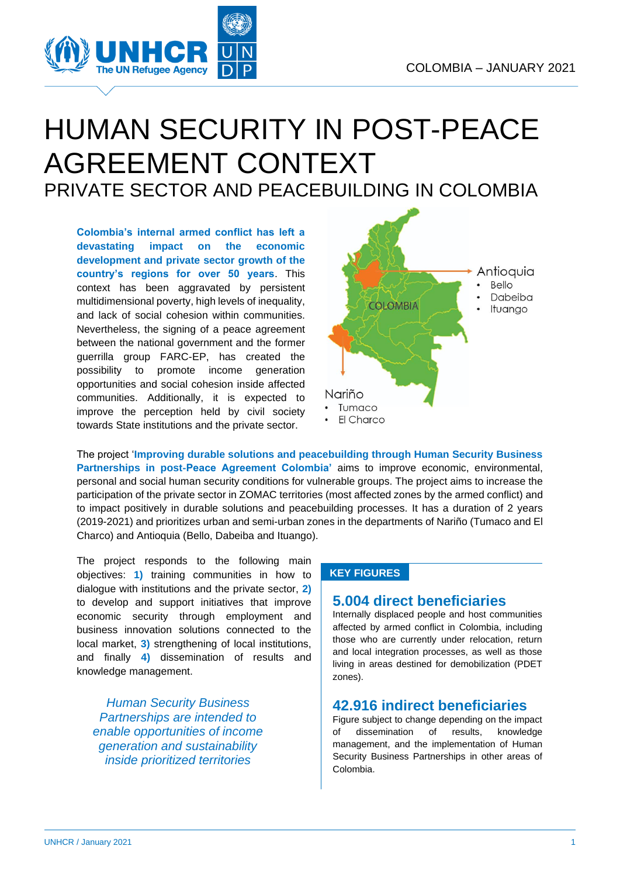

## HUMAN SECURITY IN POST-PEACE AGREEMENT CONTEXT PRIVATE SECTOR AND PEACEBUILDING IN COLOMBIA

**Colombia's internal armed conflict has left a devastating impact on the economic development and private sector growth of the country's regions for over 50 years**. This context has been aggravated by persistent multidimensional poverty, high levels of inequality, and lack of social cohesion within communities. Nevertheless, the signing of a peace agreement between the national government and the former guerrilla group FARC-EP, has created the possibility to promote income generation opportunities and social cohesion inside affected communities. Additionally, it is expected to improve the perception held by civil society towards State institutions and the private sector.



The project '**Improving durable solutions and peacebuilding through Human Security Business Partnerships in post**‐**Peace Agreement Colombia'** aims to improve economic, environmental, personal and social human security conditions for vulnerable groups. The project aims to increase the participation of the private sector in ZOMAC territories (most affected zones by the armed conflict) and to impact positively in durable solutions and peacebuilding processes. It has a duration of 2 years (2019-2021) and prioritizes urban and semi-urban zones in the departments of Nariño (Tumaco and El Charco) and Antioquia (Bello, Dabeiba and Ituango).

The project responds to the following main objectives: **1)** training communities in how to dialogue with institutions and the private sector, **2)** to develop and support initiatives that improve economic security through employment and business innovation solutions connected to the local market, **3)** strengthening of local institutions, and finally **4)** dissemination of results and knowledge management.

*Human Security Business Partnerships are intended to enable opportunities of income generation and sustainability inside prioritized territories*

#### **KEY FIGURES**

#### **5.004 direct beneficiaries**

Internally displaced people and host communities affected by armed conflict in Colombia, including those who are currently under relocation, return and local integration processes, as well as those living in areas destined for demobilization (PDET zones).

#### **42.916 indirect beneficiaries**

Figure subject to change depending on the impact of dissemination of results, knowledge management, and the implementation of Human Security Business Partnerships in other areas of Colombia.